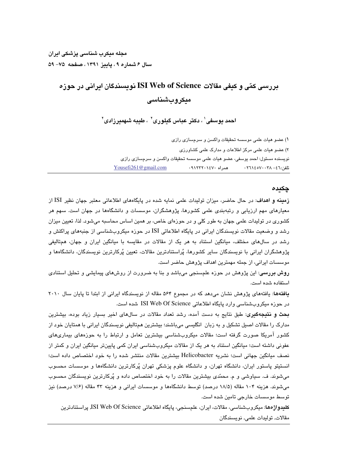# بررسی کمّی و کیفی مقالات ISI Web of Science نویسیندگان ایرانی در جوزه میکروبشناسی

احمد دوسفی' ، دکتر عیاس گیلوری' ، طیبه شهمبرزادی'

١) عضو هيات علمي موسسه تحقيقات واكسن و سرمسازي رازي ۲) عضو هیات علمی مرکز اطلاعات و مدارک علمی کشاورزی نويسنده مسئول: احمد يوسفي، عضو هيات علمي موسسه تحقيقات واكسن و سرمسازي رازي Yousefi261@gmail.com همراه ۱٤٧۰-۱۲۳۲. تلفن:١٦ - ٢٦٨ - ٢٦١٤ - ٢٠

#### چکىدە

زمینه و اهداف: در حال حاضر، میزان تولیدات علمی نمایه شده در پایگاههای اطلاعاتی معتبر جهان نظیر ISI از معیارهای مهم ارزیابی و رتبهبندی علمی کشورها، پژوهشگران، موسسات و دانشگاهها در جهان است. سهم هر کشوری در تولیدات علمی جهان به طور کلی و در حوزهای خاص، بر همین اساس محاسبه میشود. لذا، تعیین میزان رشد و وضعیت مقالات نویسندگان ایرانی در پایگاه اطلاعاتی ISI در حوزه میکروبشناسی از جنبههای پراکنش و رشد در سالهای مختلف، میانگین استناد به هر یک از مقالات در مقایسه با میانگین ایران و جهان، همتالیفی پژوهشگران ایرانی با نویسندگان سایر کشورها، پُراستنادترین مقالات، تعیین پُرکارترین نویسندگان، دانشگاهها و موسسات ايراني، از جمله مهمترين اهداف پژوهش حاضر است.

**روش بررسی**: این پژوهش در حوزه علمسنجی میباشد و بنا به ضرورت از روشهای پیمایشی و تحلیل استنادی استفاده شده است.

یافتهها: یافتههای پژوهش نشان می دهد که در مجموع ۵۶۴ مقاله از نویسندگاه ایرانی از ابتدا تا پایان سال ۲۰۱۰ در حوزه میکروبشناسی وارد پایگاه اطلاعاتی ISI Web Of Science شده است.

**بحث و نتیجهگیری**: طبق نتایج به دست آمده، رشد تعداد مقالات در سالهای اخیر بسیار زیاد بوده، بیشترین مدارک را مقالات اصبل تشکیل و به زبان انگلیسی میباشند؛ بیشترین همتالیفی نویسندگان ایرانی با همتایان خود از کشور آمریکا صورت گرفته است؛ مقالات میکروبشناسی بیشترین تعامل و ارتباط را به حوزههای بیماریهای عفونی داشته است؛ میانگین استناد به هر یک از مقالات میکروبشناسی ایران کمی پایینتر میانگین ایران و کمتر از نصف میانگین جهانی است؛ نشریه Helicobacter بیشترین مقالات منتشر شده را به خود اختصاص داده است؛ انستیتو پاستور ایران، دانشگاه تهران، و دانشگاه علوم پزشکی تهران پُرکارترین دانشگاهها و موسسات محسوب میشوند. ف. سیاوشی و م. محمّدی بیشترین مقالات را به خود اختصاص داده و پُرکارترین نویسندگان محسوب می شوند. هزینه ۱۰۴ مقاله (۱۸/۵ درصد) توسط دانشگاهها و موسسات ایرانی و هزینه ۴۳ مقاله (۷/۶ درصد) نیز توسط موسسات خارجی تامین شده است.

كليدواژهها: ميكروبشناسي، مقالات، ايران، علمسنجي، پايگاه اطلاعاتي ISI Web Of Science, پراستنادترين مقالات, توليدات علمي, نويسندگان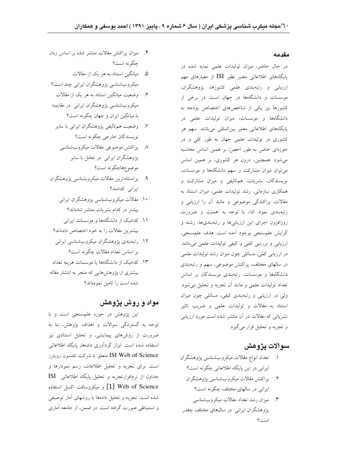#### مقدمه

در حال حاضر، میزان تولیدات علمی نمایه شده در پایگاههای اطلاعاتی معتبر نظیر ISI از معیارهای مهم ارزیابی و رتبهبندی علمی کشورها، پژوهشگران، موسسات و دانشگاهها در جهان است. در برخی از کشورها نیز یکی از شاخصهای اختصاص بودجه به دانشگاهها و موسسات، میزان تولیدات علمی در پایگاههای اطلاعاتی معتبر بینالمللی میباشد. سهم هر کشوری در تولیدات علمی جهان به طور کلی و در حوزهای خاص به طور اخصٌ، بر همین اساس محاسبه می شود. همچنین، درون هر کشوری، بر همین اساس می توان میزان مشارکت و سهم دانشگاهها و موسسات، نویسندگان، نشریات، همتالیفی و میزان مشارکت و همکاری سازمانی، رشد تولیدات علمی، میزان استناد به مقالات، پراکندگی موضوعی و مانند آن را ارزیابی و رتبهبندی نمود. لذا، با توجه به اهمیّت و ضرورت روزافزون اجرای این ارزیابیها و رتبهبندیها، رشته و گرايش علم سنجي بوجود آمده است. هدف علم سنجي، ارزیابی و بررسی کمّی و کیفی تولیدات علمی میباشد. در ارزیابی کمّی، مسائلی چون میزان رشد تولیدات علمی در سالهای مختلف، پراکنش موضوعی، سهم و رتبهبندی دانشگاهها و موسسات، رتبهبندی نویسندگان بر اساس تعداد توليدات علمي و مانند آن تجزيه و تحليل مي شود. ولي در ارزيابي و رتبهبندي كيفي، مسائلي چون ميزان استناد به مقالات و تولیدات علمی و ضریب تاثیر نشریاتی که مقالات در آن منتشر شده است مورد ارزیابی و تجزیه و تحلیل قرار میگیرد.

#### سوالات يژوهش

- ١. تعداد انواع مقالات ميكروبشناسي پژوهشگران ایرانی در این پایگاه اطلاعاتی چگونه است؟
	- ٢. يراكنش مقالات ميكروبشناسي يژوهشگران ایرانی در سالهای مختلف چگونه است؟
- ۳. میزان رشد تعداد مقالات میکروپشناسی یژوهشگران ایرانی ٍ در سالهای مختلف چقدر است؟
- ۴. میزان پراکنش مقالات منتشر شده بر اساس زبان چگونه است؟
- ۵. میانگین استناد به هر یک از مقالات میکروبشناسی یژوهشگران ایرانی چند است؟
- ۶. وضعیت میانگین استناد به هر یک از مقالات میکروبشناسی پژوهشگران ایرانی در مقایسه با میانگین ایران و جهان چگونه است؟
- ۷. وضعیت هم،تالیفی پژوهشگران ایرانی با سایر نويسندگان خارجي چگونه است؟
	- ۸ پراکنش موضوعی مقالات میکروبشناسی پژوهشگران ایرانی در تعامل با سایر موضوعهاچگونه است؟
- ۹. پراستنادترین مقالات میکروبشناسی پژوهشگران ایرانی کدامند؟
	- ۱۰. مقالات میکروبشناسی پژوهشگران ایرانی بیشتر در کدام نشریات منتشر شدهاند؟
	- ۱۱. کدامیک از دانشگاهها و موسسات ایرانی بیشترین مقالات را به خود اختصاص دادهاند؟
	- ۱۲. رتبهبندی پژوهشگران میکروبشناسی ایرانی بر اساس تعداد مقالات چگونه است؟
- ۱۳. کدامیک از دانشگاهها یا موسسات هزینه تعداد بیشتری از پژوهشهایی که منجر به انتشار مقاله شده است را تامین نمودهاند؟

### مواد و روش یژوهش

این پژوهش در حوزه علم سنجی است و با توجه به گستردگی سوالات و اهداف پژوهش, بنا به ضرورت از روشهای پیمایشی, و تحلیل استنادی نیز استفاده شده است. ابزار گردآوری دادهها, پایگاه اطلاعاتی ISI Web of Science متعلق با شركت تامسون رويترز است. برای تجزیه و تحلیل اطلاعات، رسم نمودارها و جداول از نرمافزارتجزیه و تحلیل پایگاه اطلاعاتی ISI Web of Science [1] و میکروسافت اکسل استفاده شده است. تجزیه و تحلیل دادهها با روشهای آمار توصیفی و استنباطی صورت گرفته است. در ضمن, از جامعه آماری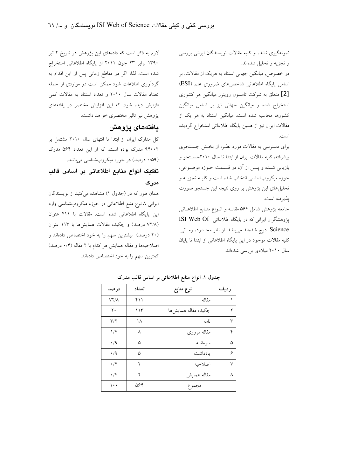نمونهگیری نشده و کلیه مقالات نویسندگان ایرانی بررسی و تجزیه و تحلیل شدهاند.

در خصوص, میانگین جهانی استناد به هریک از مقالات, بر اساس پایگاه اطلاعاتی شاخصهای ضروری علم (ESI) [2] متعلق به شرکت تامسون رویترز میانگین هر کشوری استخراج شده و میانگین جهانی نیز بر اساس میانگین کشورها محاسبه شده است. میانگین استناد به هر یک از مقالات ایران نیز از همین پایگاه اطلاعاتی استخراج گردیده است.

برای دسترسی به مقالات مورد نظـر، از بخـش جسـتجوی پیشرفته، کلیه مقالات ایران از ابتدا تا سال ۲۰۱۰جستجو و بازیابی شــده و پــس از آن، در قســمت حــوزه موضــوعی، حوزه میکروبشناسی انتخاب شده است و کلیـه تجزیــه و تحلیل های این پژوهش بر روی نتیجه این جستجو صورت يذير فته است.

جامعه پژوهش شامل ۵۶۴ مقالـه و انـواع منـابع اطلاعـاتى یژوهشگران ایرانی که در پایگاه اطلاعاتی ISI Web Of Science درج شدهاند میباشد. از نظر محدوده زمـانی, کلیه مقالات موجود در این پایگاه اطلاعاتی از ابتدا تا پایان سال ۲۰۱۰ میلادی بررسی شدهاند.

لازم به ذکر است که دادههای این پژوهش در تاریخ ۲ تیر ۱۳۹۰ برابر ۲۳ جون ۲۰۱۱ از پایگاه اطلاعاتی استخراج شده است. لذا، اگر در مقاطع زمانی پس از این اقدام به گردآوری اطلاعات شود ممکن است در مواردی از جمله تعداد مقالات سال ۲۰۱۰ و تعداد استناد به مقالات کمی افزایش دیده شود. که این افزایش مختصر در یافتههای یژوهش نیز تاثیر مختصری خواهد داشت.

## بافتههای یژوهش

کل مدارک ایران از ابتدا تا انتهای سال ۲۰۱۰ مشتمل بر ۹۴۰۰۲ مدرک بوده است. که از این تعداد ۵۶۴ مدرک (۰/۵۹ درصد) در حوزه میکروبشناسی میباشد.

## تفكيك انواع منابع اطلاعاتي بر اساس قالب مدرک

همان طور که در (جدول ۱) مشاهده میکنید از نویسندگان ایرانی ۸ نوع منبع اطلاعاتی در حوزه میکروبشناسی وارد این پایگاه اطلاعاتی شده است. مقالات با ۴۱۱ عنوان (۷۲/۸ درصد) و چکیده مقالات همایشها با ۱۱۳ عنوان (۲۰ درصد) بیشترین سهم را به خود اختصاص دادهاند و اصلاحیهها و مقاله همایش هر کدام با ۲ مقاله (۰/۴ درصد) كمترين سهم را به خود اختصاص دادهاند.

| درصد         | تعداد | نوع منابع            | رديف |
|--------------|-------|----------------------|------|
| $VY/\Lambda$ | ۴۱۱   | مقاله                |      |
| ٢٠           | ۱۱۳   | جكيده مقاله همايش ها | ۲    |
| ۳/۲          | ۱۸    | نامه                 | ٣    |
| ۱/۴          | ٨     | مقاله مرورى          | ۴    |
| $\cdot/9$    | ۵     | سرمقاله              | ۵    |
| $\cdot/9$    | ۵     | يادداشت              | ۶    |
| $\cdot$ /۴   | ۲     | اصلاحىه              | ٧    |
| $\cdot$ /۴   | ۲     | مقاله همايش          | ٨    |
| ۱۰۰          | ۵۶۴   | مجموع                |      |

جدول ١. انواع منابع اطلاعاتی بر اساس قالب مدرک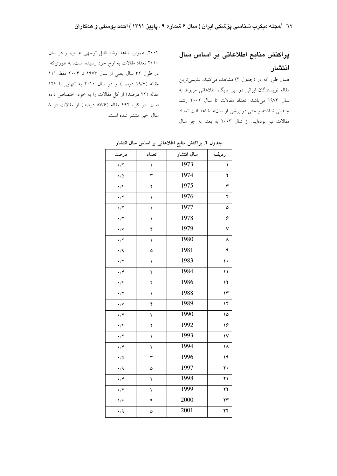# يراكنش منابع اطلاعاتي بر اساس سال انتشار

همان طور که در (جدول ۲) مشاهده میکنید، قدیمیترین مقاله تویسندگان ایرانی در این پایگاه اطلاعاتی مربوط به سال ١٩٧٣ مىباشد. تعداد مقالات تا سال ٢٠٠٢ رشد چندانی نداشته و حتی در برخی از سالها شاهد افت تعداد مقالات نیز بودهایم. از شال ۲۰۰۳ به بعد، به جز سال

۲۰۰۴، همواره شاهد رشد قابل توجهی هستیم و در سال ۲۰۱۰ تعداد مقالات به اوج خود رسیده است. به طوریکه در طول ٣٢ سال يعني از سال ١٩٧٣ تا ٢٠٠۴ فقط ١١١ مقاله (١٩/٧ درصد) و در سال ٢٠١٠ به تنهایی با ١٢۴ مقاله (٢٢ درصد) از كل مقالات را به خود اختصاص داده است. در کل، ۴۹۴ مقاله (۸۷/۶ درصد) از مقالات در ۸ سال اخير منتشر شده است.

| درصد                                         | تعداد          | سال انتشار | رديف          |
|----------------------------------------------|----------------|------------|---------------|
| $\cdot/7$                                    | $\overline{ }$ | 1973       | ١             |
| $\boldsymbol{\cdot}$ / $\!\Delta$            | ٣              | 1974       | ۲             |
| $\cdot$ /۴                                   | ٢              | 1975       | ٣             |
| $\boldsymbol{\cdot}/\Upsilon$                | ١              | 1976       | ۴             |
| $\cdot/7$                                    | ١              | 1977       | ۵             |
| $\boldsymbol{\cdot}/\Upsilon$                | ١              | 1978       | ۶             |
| $\cdot / V$                                  | ۴              | 1979       | ٧             |
| $\boldsymbol{\cdot}/\Upsilon$                | ١              | 1980       | ٨             |
| $\cdot/9$                                    | ۵              | 1981       | ٩             |
| $\boldsymbol{\cdot}/\Upsilon$                | $\backslash$   | 1983       | $\mathcal{L}$ |
| $\cdot$ /۴                                   | ۲              | 1984       | $\mathcal{L}$ |
| $\boldsymbol{\cdot}/\mathbf{Y}$              | ۲              | 1986       | $\mathbf{y}$  |
| $\boldsymbol{\cdot}/\boldsymbol{\Upsilon}$   | ١              | 1988       | ۱۳            |
| $\cdot / V$                                  | ۴              | 1989       | $\mathcal{N}$ |
| $\boldsymbol{\cdot}/\mathbf{Y}$              | ٢              | 1990       | ۱۵            |
| $\boldsymbol{\cdot}/\mathbf{Y}$              | ٢              | 1992       | ۱۶            |
| $\cdot/7$                                    | ١              | 1993       | $\mathsf{V}$  |
| $\cdot/\mathfrak{r}$                         | ۲              | 1994       | ۱۸            |
| $\boldsymbol{\cdot}$ / $\boldsymbol{\Delta}$ | ٣              | 1996       | ١٩            |
| $\cdot/9$                                    | ۵              | 1997       | ۲۰            |
| $\boldsymbol{\cdot}/\mathbf{Y}$              | ۲              | 1998       | ۲۱            |
| $\boldsymbol{\cdot}/\mathbf{Y}$              | ٢              | 1999       | ۲۲            |
| 1/9                                          | ٩              | 2000       | ۲۳            |
| $\cdot/9$                                    | ۵              | 2001       | ۲۴            |

#### جدول ٢. پراکنش منابع اطلاعاتی بر اساس سال انتشار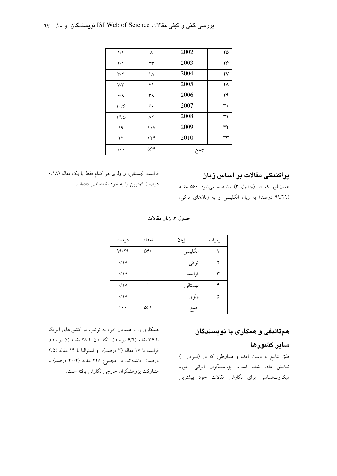| $1/\mathfrak{F}$        | ٨          | 2002 | ۲۵ |
|-------------------------|------------|------|----|
| $Y/\lambda$             | ۲۳         | 2003 | ۲۶ |
| $\mathbf{r}/\mathbf{r}$ | ۱۸         | 2004 | ۲٧ |
| V/Y                     | ۴۱         | 2005 | ۲۸ |
| 9/9                     | ٣٩         | 2006 | 29 |
| $\frac{1}{2}$           | ۶.         | 2007 | ٣٠ |
| 14/0                    | $\wedge$ ٢ | 2008 | ٣١ |
| ۱۹                      | ۱۰۷        | 2009 | ٣٢ |
| ۲۲                      | ۱۲۴        | 2010 | ٣٣ |
| ۰۰۱                     | ۵۶۴        | جمع  |    |

### یراکندگی مقالات بر اساس زبان

فرانسه، لهستانی، و ولزی هر کدام فقط با یک مقاله (۱۸/۰ درصد) کمترین را به خود اختصاص دادهاند.

همانطور که در (جدول ۳) مشاهده میشود ۵۶۰ مقاله (۹۹/۲۹ درصد) به زبان انگلیسی و به زبانهای ترکی،

جدول ٣. زبان مقالات

| درصد            | تعداد | زبان    | رديف |
|-----------------|-------|---------|------|
| 99/79           | ۵۶۰   | انگلیسی |      |
| $\cdot/\lambda$ |       | تركى    |      |
| $\cdot/\lambda$ |       | فرانسه  | ٣    |
| $\cdot/\lambda$ |       | لهستاني | ۴    |
| $\cdot/\lambda$ |       | ولزى    |      |
| ۱۰۰             | ۵۶۴   | جمع     |      |

همکاری را با همتایان خود به ترتیب در کشورهای آمریکا با ۳۶ مقاله (۶/۴ درصد)، انگلستان با ۲۸ مقاله (۵ درصد)، فرانسه با ۱۷ مقاله (۳ درصد)، و استرالیا با ۱۴ مقاله (۲/۵ درصد) داشتهاند. در مجموع ۲۲۸ مقاله (۴۰/۴ درصد) با مشارکت یژوهشگران خارجی نگارش یافته است.

# همتالیفی و همکاری با نویسندگان

# سایر کشورها

طبق نتایج به دست آمده و همانطور که در (نمودار ۱) نمایش داده شده است، پژوهشگران ایرانی حوزه میکروبشناسی برای نگارش مقالات خود بیشترین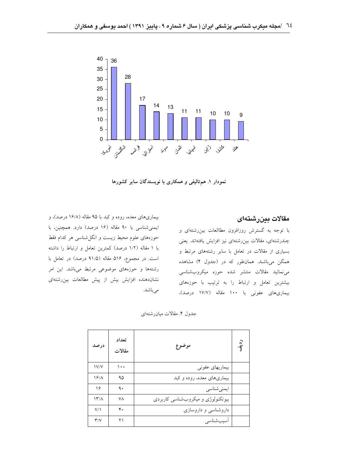

نمودار ۱. همتالیفی و همکاری با نویسندگان سایر کشورها

بیماریهای معده، روده و کبد با ۹۵ مقاله (۱۶/۸ درصد)، و ایمنی شناسی با ۹۰ مقاله (۱۶ درصد) دارد. همچنین، با حوزههای علوم محیط زیست و انگلشناسی هر کدام فقط با ١ مقاله (١/٢ درصد) كمترين تعامل و ارتباط را داشته است. در مجموع، ۵۱۶ مقاله (۹۱/۵ درصد) در تعامل با رشتهها و حوزههای موضوعی مرتبط میباشد. این امر نشاندهنده افزایش بیش از پیش مطالعات بینرشتهای می باشد.

مقالات بينرشتهاى

با توجه به گسترش روزافزون مطاالعات بین رشتهای و چندرشتهای، مقالات بین رشتهای نیز افزایش یافتهاند. یعنی بسیاری از مقالات در تعامل با سایر رشتههای مرتبط و همگن میباشند. همانطور که در (جدول ۴) مشاهده می نمائید مقالات منتشر شده حوزه میکروب شناسی بیشترین تعامل و ارتباط را به ترتیب با حوزههای بیماریهای عفونی با ۱۰۰ مقاله (۱۷/۷ درصد)،

جدول ۴. مقالات میان رشتهای

| درصد                    | تعداد<br>مقالات | موضوع                             | $\cdot \hat{q}$ |
|-------------------------|-----------------|-----------------------------------|-----------------|
| <b>IV/V</b>             | $\cdots$        | بیماریهای عفونی                   |                 |
| 19/                     | ۹۵              | بیماریهای معده، روده و کبد        |                 |
| ۱۶                      | ٩.              | ايمنىشناسى                        |                 |
| $\frac{1}{\gamma}$      | ۷۸              | بیوتکنولوژی و میکروبشناسی کاربردی |                 |
| V/1                     | ۴.              | داروشناسی و داروسازی              |                 |
| $\mathsf{r}/\mathsf{v}$ | ۲۱              | اسيبشناسي                         |                 |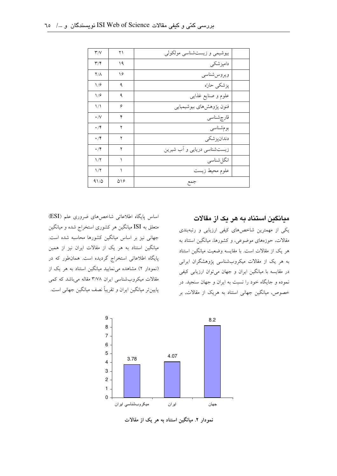| $\mathsf{r}'/\mathsf{v}$ | ۲۱  | بیوشیمی و زیستشناسی مولکولی |  |
|--------------------------|-----|-----------------------------|--|
| ۳/۴                      | ۱۹  | دامپزشکی                    |  |
| $Y/\Lambda$              | ۱۶  | ويروس شناسي                 |  |
| 1/9                      | ٩   | پزشکی حارّه                 |  |
| ۱۱۶                      | ٩   | علوم و صنایع غذایبی         |  |
| $\binom{1}{k}$           | ۶   | فنون پژوهشهای بیوشیمیایی    |  |
| $\cdot/\vee$             | ۴   | قارچشناسى                   |  |
| $\cdot$ /۴               | ۲   | بومشناسى                    |  |
| $\cdot$ /۴               | ۲   | دندانيز شكى                 |  |
| $\cdot$ /۴               | ۲   | زیستشناسی دریایی و آب شیرین |  |
| 1/7                      |     | انگل شناسى                  |  |
| $1/\Upsilon$             |     | علوم محيط زيست              |  |
| 91/0                     | ۵۱۶ | جمع                         |  |

اساس پایگاه اطلاعاتی شاخصهای ضروری علم (ESI) متعلق به ISI میانگین هر کشوری استخراج شده و میانگین جهانی نیز بر اساس میانگین کشورها محاسبه شده است. میانگین استناد به هر یک از مقالات ایران نیز از همین پایگاه اطلاعاتی استخراج گردیده است. همانطور که در (نمودار ۲) مشاهده می نمایید میانگین استناد به هر یک از مقالات میکروب شناسی ایران ۳/۷۸ مقاله میباشد که کمی پایینتر میانگین ایران و تقریباً نصف میانگین جهانی است.



نمودار ۲. میانگین استناد به هر یک از مقالات

#### میانگین استناد به هر یک از مقالات

یکی از مهمترین شاخصهای کیفی ارزیابی و رتبهبندی مقالات، حوزههای موضوعی، و کشورها، میانگین استناد به هر یک از مقالات است. با مقایسه وضعیت میانگین استناد به هر یک از مقالات میکروبشناسی پژوهشگران ایرانی در مقایسه با میانگین ایران و جهان میتوان ارزیابی کیفی نموده و جایگاه خود را نسبت به ایران و جهان سنجید. در خصوص, میانگین جهانی استناد به هریک از مقالات, بر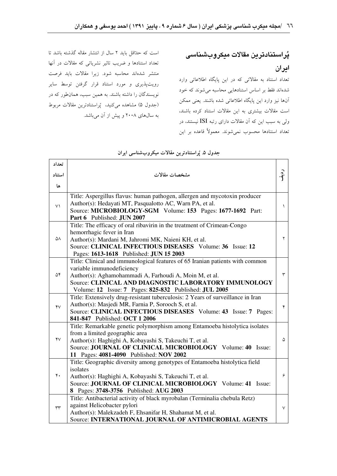است که حلتاقل باید ۲ سال از انتشار مقاله گذشته باشد تا تعداد استنادها و ضریب تاثیر نشریاتی که مقالات در آنها منتشر شدهاند محاسبه شود. زيرا مقالات بايد فرصت رویتپذیری و مورد استناد قرار گرفتن توسط سایر نویسندگان را داشته باشند. به همین سبب، همانطور که در (جدول ۵) مشاهده میکنید، پُراستنادترین مقالات مربوط به سالهای ۲۰۰۸ و پیش از آن میباشد. <mark>پُراستنادترین مقالات میکروبشناسی</mark> ايران

تعداد استناد به مقالاتی که در این پایگاه اطلاعاتی وارد شدهاند فقط بر اساس استنادهایی محاسبه می شوند که خود آنها نیز وارد این پایگاه اطلاعاتی شده باشند. یعنی ممکن است مقالات بیشتری به این مقالات استناد کرده باشند، ولی به سبب این که آن مقالات دارای رتبه ISI نیستند، در تعداد استنادها محسوب نمى شوند. معمولاً قاعده بر اين

| تعداد  |                                                                                                                  |           |  |  |
|--------|------------------------------------------------------------------------------------------------------------------|-----------|--|--|
| استناد | مشخصات مقالات                                                                                                    | دو.<br>'ا |  |  |
|        |                                                                                                                  |           |  |  |
| ها     |                                                                                                                  |           |  |  |
|        | Title: Aspergillus flavus: human pathogen, allergen and mycotoxin producer                                       |           |  |  |
| $\vee$ | Author(s): Hedayati MT, Pasqualotto AC, Warn PA, et al.                                                          | $\lambda$ |  |  |
|        | Source: MICROBIOLOGY-SGM Volume: 153 Pages: 1677-1692 Part:                                                      |           |  |  |
|        | Part 6 Published: JUN 2007                                                                                       |           |  |  |
|        | Title: The efficacy of oral ribavirin in the treatment of Crimean-Congo                                          |           |  |  |
| ۵۸     | hemorrhagic fever in Iran                                                                                        | ۲         |  |  |
|        | Author(s): Mardani M, Jahromi MK, Naieni KH, et al.<br>Source: CLINICAL INFECTIOUS DISEASES Volume: 36 Issue: 12 |           |  |  |
|        | Pages: 1613-1618 Published: JUN 15 2003                                                                          |           |  |  |
|        | Title: Clinical and immunological features of 65 Iranian patients with common                                    |           |  |  |
|        | variable immunodeficiency                                                                                        |           |  |  |
| ۵۴     | ٣<br>Author(s): Aghamohammadi A, Farhoudi A, Moin M, et al.                                                      |           |  |  |
|        | Source: CLINICAL AND DIAGNOSTIC LABORATORY IMMUNOLOGY                                                            |           |  |  |
|        | Volume: 12 Issue: 7 Pages: 825-832 Published: JUL 2005                                                           |           |  |  |
|        | Title: Extensively drug-resistant tuberculosis: 2 Years of surveillance in Iran                                  |           |  |  |
| YV     | Author(s): Masjedi MR, Farnia P, Sorooch S, et al.                                                               | ۴         |  |  |
|        | Source: CLINICAL INFECTIOUS DISEASES Volume: 43 Issue: 7 Pages:                                                  |           |  |  |
|        | 841-847 Published: OCT 1 2006                                                                                    |           |  |  |
|        | Title: Remarkable genetic polymorphism among Entamoeba histolytica isolates                                      |           |  |  |
|        | from a limited geographic area                                                                                   |           |  |  |
| ۴٧     | Author(s): Haghighi A, Kobayashi S, Takeuchi T, et al.                                                           | ۵         |  |  |
|        | Source: JOURNAL OF CLINICAL MICROBIOLOGY Volume: 40 Issue:                                                       |           |  |  |
|        | 11 Pages: 4081-4090 Published: NOV 2002                                                                          |           |  |  |
|        | Title: Geographic diversity among genotypes of Entamoeba histolytica field                                       |           |  |  |
| ۴٠     | isolates                                                                                                         | ۶         |  |  |
|        | Author(s): Haghighi A, Kobayashi S, Takeuchi T, et al.                                                           |           |  |  |
|        | Source: JOURNAL OF CLINICAL MICROBIOLOGY Volume: 41 Issue:                                                       |           |  |  |
|        | 8 Pages: 3748-3756 Published: AUG 2003                                                                           |           |  |  |
|        | Title: Antibacterial activity of black myrobalan (Terminalia chebula Retz)<br>against Helicobacter pylori        |           |  |  |
| rr     | Author(s): Malekzadeh F, Ehsanifar H, Shahamat M, et al.                                                         | $\vee$    |  |  |
|        | Source: INTERNATIONAL JOURNAL OF ANTIMICROBIAL AGENTS                                                            |           |  |  |
|        |                                                                                                                  |           |  |  |

#### جدول ۵. پُراستنادترین مقالات میکروبشناسی ایران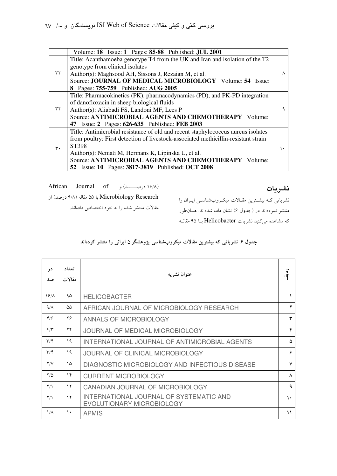|    | Volume: 18 Issue: 1 Pages: 85-88 Published: JUL 2001                               |   |  |  |  |
|----|------------------------------------------------------------------------------------|---|--|--|--|
|    | Title: Acanthamoeba genotype T4 from the UK and Iran and isolation of the T2       |   |  |  |  |
|    | genotype from clinical isolates                                                    |   |  |  |  |
| ٣٢ | Author(s): Maghsood AH, Sissons J, Rezaian M, et al.                               | А |  |  |  |
|    | Source: JOURNAL OF MEDICAL MICROBIOLOGY Volume: 54 Issue:                          |   |  |  |  |
|    | 8 Pages: 755-759 Published: AUG 2005                                               |   |  |  |  |
|    | Title: Pharmacokinetics (PK), pharmacodynamics (PD), and PK-PD integration         |   |  |  |  |
|    | of danofloxacin in sheep biological fluids                                         |   |  |  |  |
| ٣٢ | Author(s): Aliabadi FS, Landoni MF, Lees P                                         |   |  |  |  |
|    | Source: ANTIMICROBIAL AGENTS AND CHEMOTHERAPY Volume:                              |   |  |  |  |
|    | 47 Issue: 2 Pages: 626-635 Published: FEB 2003                                     |   |  |  |  |
|    | Title: Antimicrobial resistance of old and recent staphylococcus aureus isolates   |   |  |  |  |
|    | from poultry: First detection of livestock-associated methicillin-resistant strain |   |  |  |  |
| ٣. | ST398                                                                              |   |  |  |  |
|    | Author(s): Nemati M, Hermans K, Lipinska U, et al.                                 |   |  |  |  |
|    | Source: ANTIMICROBIAL AGENTS AND CHEMOTHERAPY Volume:                              |   |  |  |  |
|    | 52 Issue: 10 Pages: 3817-3819 Published: OCT 2008                                  |   |  |  |  |

African Journal of  $e^{i\phi}$   $\phi$  (درصـــــد) و $\phi$  ( $\phi$ A/A) با ۵۵ مقاله (۹/۸ درصد) از

مقالات منتشر شده را به خود اختصاص دادهاند.

نشريات

نشریاتی کـه بیشـترین مقـالات میکـروبشناسـی ایـران را منتشر نمودهاند در (جدول ۶) نشان داده شدهاند. همانطور که مشاهده میکنید نشریات Helicobacter بــا ۹۵ مقالــه

| در<br>صد                | تعداد<br>مقالات | عنوان نشريه                                                          | $\hat{a}$     |
|-------------------------|-----------------|----------------------------------------------------------------------|---------------|
| 19/                     | ۹۵              | <b>HELICOBACTER</b>                                                  |               |
| $4/\lambda$             | ۵۵              | AFRICAN JOURNAL OF MICROBIOLOGY RESEARCH                             | ۲             |
| $Y/\mathcal{G}$         | ۲۶              | ANNALS OF MICROBIOLOGY                                               | ٣             |
| $\mathbf{y}/\mathbf{x}$ | ۲۴              | JOURNAL OF MEDICAL MICROBIOLOGY                                      | ۴             |
| $\mathbf{r}/\mathbf{r}$ | ۱۹              | INTERNATIONAL JOURNAL OF ANTIMICROBIAL AGENTS                        | ۵             |
| $\mathbf{r}/\mathbf{r}$ | 19              | JOURNAL OF CLINICAL MICROBIOLOGY                                     | ۶             |
| Y/V                     | ١۵              | DIAGNOSTIC MICROBIOLOGY AND INFECTIOUS DISEASE                       | $\vee$        |
| $Y/\Delta$              | ۱۴              | <b>CURRENT MICROBIOLOGY</b>                                          | $\lambda$     |
| $\Upsilon/\Upsilon$     | $\gamma$        | CANADIAN JOURNAL OF MICROBIOLOGY                                     | ٩             |
| $\Upsilon/\Upsilon$     | $\gamma$        | INTERNATIONAL JOURNAL OF SYSTEMATIC AND<br>EVOLUTIONARY MICROBIOLOGY | $\lambda$     |
| $\frac{1}{\Lambda}$     | ١.              | <b>APMIS</b>                                                         | $\mathcal{L}$ |

جدول ۶ـ نشریاتی که بیشترین مقالات میکروبشناسی پژوهشگران ایرانی را منتشر کردهاند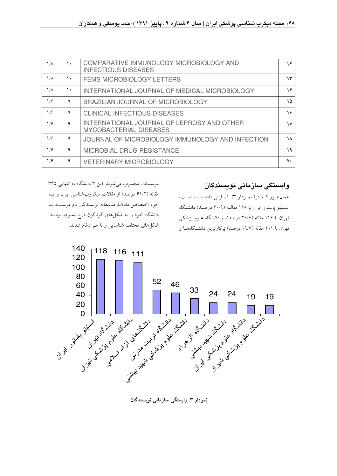| $\frac{1}{\Lambda}$ | ١. | COMPARATIVE IMMUNOLOGY MICROBIOLOGY AND<br><b>INFECTIOUS DISEASES</b>       | ۱۲           |
|---------------------|----|-----------------------------------------------------------------------------|--------------|
| $\frac{1}{\Lambda}$ | ١. | <b>FEMS MICROBIOLOGY LETTERS</b>                                            | ۱۳           |
| $\frac{1}{\Lambda}$ | ۱. | INTERNATIONAL JOURNAL OF MEDICAL MICROBIOLOGY                               | ۱۴           |
| 1/9                 | ٩  | BRAZILIAN JOURNAL OF MICROBIOLOGY                                           | ١۵           |
| 1/9                 | ٩  | <b>CLINICAL INFECTIOUS DISEASES</b>                                         | ۱۶           |
| 1/9                 | ٩  | INTERNATIONAL JOURNAL OF LEPROSY AND OTHER<br><b>MYCOBACTERIAL DISEASES</b> | $\mathsf{v}$ |
| 1/9                 | ٩  | JOURNAL OF MICROBIOLOGY IMMUNOLOGY AND INFECTION                            | ١٨           |
| 1/9                 | ٩  | <b>MICROBIAL DRUG RESISTANCE</b>                                            | ۱۹           |
| 1/9                 | ٩  | <b>VETERINARY MICROBIOLOGY</b>                                              | ۲.           |
|                     |    |                                                                             |              |

موسسات محسوب می شوند. این ۳ دانشگاه به تنهایی ۳۴۵ مقاله (۶۱/۲ درصد) از مقالات میکروبشناسی ایران را بـه خود اختصاص دادهاند متاسفانه نويسندگان نام موسسـه يـا دانشگاه خود را به شکل های گوناگون درج نمـوده بودنــد. شکلهای مختلف شناسایی و با هم ادغام شدند.

وابستگی سازمانی نویسندگان

همان طور کـه در ( نمـودار ۳) نمـايش داده شـده اسـت، انستتو پاستور ایران با ۱۱۸ مقالبه (۲۰/۹ درصد) دانشگاه تهران با ۱۱۶ مقاله (۲۰/۶ درصد)، و دانشگاه علوم پزشکی تهران با ۱۱۱ مقاله (۱۹/۷ درصد) پُرکارترین دانشگاههـا و



نمودار ۳ وابستگی سازمانی نویسندگان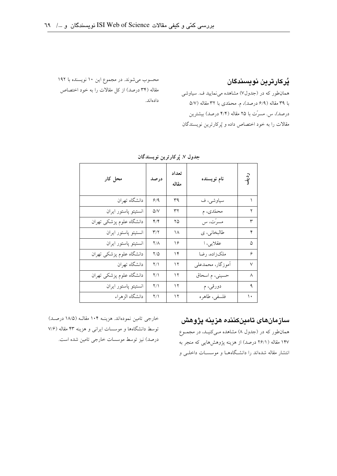#### پُركارترين نويسندگان

همانطور که در (جدول۷) مشاهده می نمایید ف. سیاوشی با ۳۹ مقاله (۶/۹ درصد)، م. محمّدی با ۳۲ مقاله (۵/۷ درصد)، س. مسرّت با ۲۵ مقاله (۴/۴ درصد) بیشترین مقالات را به خود اختصاص داده و پُرکارترین نویسندگان

محسوب می شوند. در مجموع این ۱۰ نویسنده با ۱۹۲ مقاله (۳۴ درصد) از کل مقالات را به خود اختصاص دادهاند.

| محل کار                  | درصد                        | تعداد<br>مقاله | نام نویسنده      | ردية.<br>أ           |
|--------------------------|-----------------------------|----------------|------------------|----------------------|
| دانشگاه تهران            | 9/9                         | ٣٩             | سياوشي، ف        |                      |
| انستيتو پاستور ايران     | $\Delta/V$                  | ٣٢             | محمّدي، م        | ۲                    |
| دانشگاه علوم پزشکی تهران | $\mathfrak{t}/\mathfrak{t}$ | ۲۵             | مسرِّت، س        | ٣                    |
| انستيتو پاستور ايران     | $\mathbf{r}/\mathbf{r}$     | ۱۸             | طالبخاني، ي      | ۴                    |
| انستيتو پاستور ايران     | $Y/\Lambda$                 | ۱۶             | عقلایی، ا        | $\hbox{$\triangle$}$ |
| دانشگاه علوم پزشکی تهران | ۲/۵                         | ۱۴             | ملكزاده، رضا     | ۶                    |
| دانشگاه تهران            | $\Upsilon/\Upsilon$         | ۱۲             | آموزگار، محمدعلى | $\checkmark$         |
| دانشگاه علوم پزشکی تهران | $\Upsilon/\Upsilon$         | ۱۲             | حسینی، م اسحاق   | ٨                    |
| انستيتو پاستور ايران     | $\Upsilon/\Upsilon$         | ۱۲             | دورقي، م         | ٩                    |
| دانشگاه الزهراء          | $\Upsilon/\Upsilon$         | ۱۲             | فلسفى، طاهره     | ١.                   |
|                          |                             |                |                  |                      |

جدول ٧. يُركارترين نويسندگان

خارجی تامین نمودهاند. هزینـه ۱۰۴ مقالـه (۱۸/۵ درصـد) توسط دانشگاهها و موسسات ایرانی و هزینه ۴۳ مقاله (۷/۶ درصد) نیز توسط موسسات خارجی تامین شده است.

## سازمانهای تامینکننده هزینه پژوهش

همانطور که در (جدول ۸) مشاهده مـیکنیـد، در مجمــوع ۱۴۷ مقاله (۲۶/۱ درصد) از هزینه پژوهشهایی که منجر به انتشار مقاله شدهاند را دانشگاههـا و موسسـات داخلـی و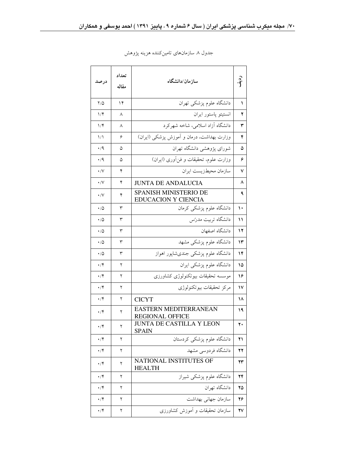| درصد             | تعداد<br>مقاله | سازمان/دانشگاه                                      |    |  |  |
|------------------|----------------|-----------------------------------------------------|----|--|--|
| ۲/۵              | ۱۴             | دانشگاه علوم پزشکی تهران                            | ١  |  |  |
| ۱/۴              | ٨              | انستيتو پاستور ايران                                | ۲  |  |  |
| $1/\mathfrak{F}$ | ٨              | دانشگاه آزاد اسلامی، شاخه شهرکرد                    | ٣  |  |  |
| ۱۸               | ۶              | وزارت بهداشت، درمان و آموزش پزشکی (ایران)           | ۴  |  |  |
| ۰٬۹              | ۵              | شورای پژوهشی دانشگاه تهران                          | ۵  |  |  |
| $\cdot/9$        | ۵              | وزارت علوم، تحقیقات و فنأوری (ایران)                | ۶  |  |  |
| $\cdot$ /V       | ۴              | سازمان محيطزيست ايران                               | ٧  |  |  |
| $\cdot/\vee$     | ۴              | <b>JUNTA DE ANDALUCIA</b>                           | ۸  |  |  |
| $\cdot$ /V       | ۴              | SPANISH MINISTERIO DE<br><b>EDUCACION Y CIENCIA</b> | ٩  |  |  |
| $\cdot$ /0       | ٣              | دانشگاه علوم پزشکی کرمان                            | ۱۰ |  |  |
| ۰۱۵              | ٣              | دانشگاه تربیت مدرّس                                 | ۱۱ |  |  |
| ۰/۵              | ٣              | دانشگاه اصفهان                                      | ۱۲ |  |  |
| ۰/۵              | ٣              | دانشگاه علوم پزشک <sub>ی</sub> مشهد                 | ۱۳ |  |  |
| ۰/۵              | ٣              | دانشگاه علوم پزشکی جندیشاپور اهواز                  | ۱۴ |  |  |
| ۰/۴              | ٢              | دانشگاه علوم پزشکی ایران                            | ۱۵ |  |  |
| ۰/۴              | ٢              | موسسه تحقیقات بیوتکنولوژی کشاورزی                   | ۱۶ |  |  |
| ۰/۴              | ٢              | مركز تحقيقات بيوتكنولوژى                            | ۱۷ |  |  |
| ۰/۴              | ٢              | <b>CICYT</b>                                        | ۱۸ |  |  |
| ۰/۴              | ٢              | EASTERN MEDITERRANEAN<br><b>REGIONAL OFFICE</b>     | ۱۹ |  |  |
| $\cdot$ /۴       | ۲              | <b>JUNTA DE CASTILLA Y LEON</b><br><b>SPAIN</b>     | ۲۰ |  |  |
| $\cdot$ /۴       | ٢              | دانشگاه علوم پزشکی کردستان                          | ۲۱ |  |  |
| ۰/۴              | ٢              | دانشگاه فردوسی مشهد                                 | 22 |  |  |
| $\cdot$ /۴       | ٢              | NATIONAL INSTITUTES OF<br><b>HEALTH</b>             | ۲۳ |  |  |
| $\cdot$ /۴       | ٢              | دانشگاه علوم پزشکی شیراز                            | ۲۴ |  |  |
| ۰/۴              | ٢              | دانشگاه تهران                                       | ۲۵ |  |  |
| ۰/۴              | ٢              | سازمان جهاني بهداشت                                 | ۲۶ |  |  |
| ۰/۴              | ٢              | سازمان تحقیقات و آموزش کشاورزی                      | ۲۷ |  |  |

جدول ۸ سازمانهای تامینکننده هزینه پژوهش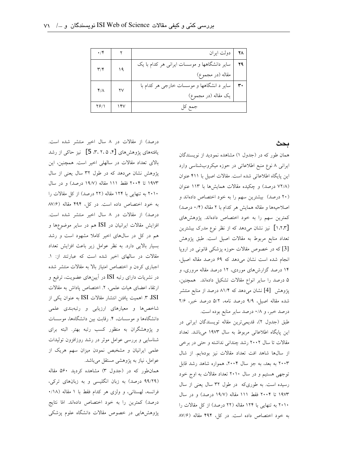| $\cdot$ /۴              |                        | دولت ايران                                   | 78 |
|-------------------------|------------------------|----------------------------------------------|----|
| $\mathbf{r}/\mathbf{r}$ | ۱۹                     | سایر دانشگاهها و موسسات ایرانی هر کدام با یک |    |
|                         |                        | مقاله (در مجموع)                             |    |
| ۴۸                      | $\mathsf{Y}\mathsf{V}$ | سایر د انشگاهها و موسسات خارجی هر کدام با    |    |
|                         |                        | يک مقاله (در مجموع)                          |    |
| ۲۶/۱                    |                        | جمع کل                                       |    |

ىحث

همان طور که در (جدول ۱) مشاهده نمودید از نویسندگان ایرانی ۸ نوع منبع اطلاعاتی در حوزه میکروبشناسی وارد این پایگاه اطلاعاتی شده است. مقالات اصیل با ۴۱۱ عنوان (۷۲/۸ درصد) و چکیده مقالات همایشها با ۱۱۳ عنوان (۲۰ درصد) بیشترین سهم را به خود اختصاص دادهاند و اصلاحیهها و مقاله همایش هر کدام با ۲ مقاله (۰/۴ درصد) کمترین سهم را به خود اختصاص دادهاند. پژوهشهای [۱٬۲٬۳] نیز نشان میدهد که از نظر نوع مدرک بیشترین تعداد منابع مربوط به مقالات اصيل است. طبق پژوهش [3] که در خصوص مقالات حوزه پزشکی قانونی در اروپا انجام شده است نشان میدهد که ۶۹ درصد مقاله اصیل، ۱۴ درصد گزارشهای موردی، ۱۲ درصد مقاله مروری، و ۵ درصد را سایر انواع مقالات تشکیل دادهاند. همچنین، پژوهش [4] نشان میدهد که ۸۱/۴ درصد از منابع منتشر شده مقاله اصیل، ۹/۹ درصد نامه، ۵/۲ درصد خبر، ۲/۶ درصد خبر، و ۰/۸ درصد سایر منابع بوده است.

طبق (جدول ٢)، قديمي ترين مقاله تويسندگان ايراني در این پایگاه اطلاعاتی مربوط به سال ۱۹۷۳ میباشد. تعداد مقالات تا سال ۲۰۰۲ رشد چندانی نداشته و حتی در برخی از سالها شاهد افت تعداد مقالات نيز بودهايم. از شال ۲۰۰۳ به بعد، به جز سال ۲۰۰۴، همواره شاهد رشد قابل توجهی هستیم و در سال ۲۰۱۰ تعداد مقالات به اوج خود رسیده است. به طوریکه در طول ۳۲ سال یعنی از سال ۱۹۷۳ تا ۲۰۰۴ فقط ۱۱۱ مقاله (۱۹/۷ درصد) و در سال ۲۰۱۰ به تنهایی با ۱۲۴ مقاله (۲۲ درصد) از کل مقالات را به خود اختصاص داده است. در کل، ۴۹۴ مقاله (۸۷/۶

درصد) از مقالات در ۸ سال اخیر منتشر شده است. یافتههای پژوهشهای [۴، ۲، ۲، ۵] نیز حاکی از رشد بالای تعداد مقالات در سالهلی اخیر است. همچنین، این پژوهش نشان می دهد که در طول ۳۲ سال یعنی از سال ۱۹۷۳ تا ۲۰۰۴ فقط ۱۱۱ مقاله (۱۹/۷ درصد) و در سال ۲۰۱۰ به تنهایی با ۱۲۴ مقاله (۲۲ درصد) از کل مقالات را به خود اختصاص داده است. در کل، ۴۹۴ مقاله (۸۷/۶ درصد) از مقالات در ۸ سال اخیر منتشر شده است. افزایش مقالات ایرانیان در ISI هم در سایر موضوعها و هم در کل در سالهای اخیر کاملا مشهود است و رشد بسیار بالایی دارد. به نظر عوامل زیر باعث افزایش تعداد مقالات در سالهای اخیر شده است که عبارتند از: ١. اجباری کردن و اختصاص امتیاز بالا به مقالات منتشر شده در نشریات دارای رتبه ISI در آیینهای عضویت، ترفیع و ارتقاء اعضای هیات علمی، ۲. اختصاص پاداش به مقالات ISI، ۳. اهمیت یافتن انتشار مقالات ISI به عنوان یکی از شاخصها و معیارهای ارزیابی و رتبهبندی علمی دانشگاهها و موسسات، ۴. رقابت بین دانشگاهها، موسسات و پژوهشگران به منظور کسب رتبه بهتر. البته برای شناسایی و بررسی عوامل موثر در رشد روزافزون تولیدات علمی ایرانیان و مشخبص نمودن میزان سهم هریک از عوامل، نیاز به پژوهشی مستقل میباشد.

همانطور که در (جدول ۳) مشاهده کردید ۵۶۰ مقاله (۹۹/۲۹ درصد) به زبان انگلیسی و به زبانهای ترکی، فرانسه، لهستانی، و ولزی هر کدام فقط با ۱ مقاله (۱۸/۰ درصد) كمترين را به خود اختصاص دادهاند. امّا نتايج پژوهشهایی در خصوص مقالات دانشگاه علوم پزشکی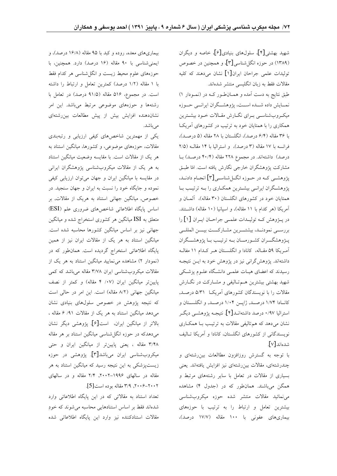شهید بهشتی[۴]، سلولهای بنیادی[۶]، خاصه و دیگران (۱۳۸۹) در حوزه انگلشناسی[۳]، و همچنین در خصوص توليدات علمي جراحان ايران[۱] نشان مي دهند كه كليه مقالات فقط به زبان انگلیسی منتشر شدهاند.

طبق نتایج به دست آمده و همـانطـور کــه در (نمـودار ۱) نمــايش داده شـــده اســـت، پژوهشــگران ايرانـــي حـــوزه میک وب شناسبی بـرای نگـارش مقـالات خـود بیشــترین همکاری را با همتایان خود به ترتیب در کشورهای آمریکا با ۳۶ مقاله (۶/۴ درصد)، انگلستان با ۲۸ مقاله (۵ درصـد)، فرانسه با ١٧ مقاله (٣ درصد)، و استراليا با ١۴ مقالـه (٢/٥ درصد) داشتهاند. در مجموع ۲۲۸ مقاله (۴۰/۴ درصد) بـا مشاركت يژوهشگران خارجي نگارش يافته است. امّا طبـق پژوهشــی کــه در حــوزه انگـــلشناســی[۳] انجــام دادنــد، پژوهشگران ایرانمی بیشترین همکاری را بـه ترتیـب بـا همتایان خود در کشورهای انگلستان (۳۰ مقاله)، آلمــان و آمریکا (هر کدام با ۱۱ مقاله)، و اسپانیا (۱۰ مقاله) داشتند. در پـــؤوهش كــه توليــدات علمــى جراحــان ايــران [۱] را بررســي نمودنــد، بيشتـــرين مشـاركـــت بيـــن المللــي پـژوهشگـــران كشــورمـــان بــه ترتيــب بــا پژوهشـــگران آمريكا ٥٩ مقـاله، كانادا و انگلسـتان هـر كـدام ١١ مفالـه داشتهاند. پژوهشگرانی نیز در پژوهش خود به ایــن نتیجــه رسیدند که اعضای هیـات علمـی دانشـگاه علـوم پزشـکی شهید بهشتی بیشترین هـمتالیفی و مشـارکت در نگـارش مقالات را با نویسندگان کشورهای آمریک ۵/۳۱ درصـد, كانادا ١/٧۴ درصد, ژاپس ١/٠۴ درصد, و انگلستان و استراليا ٠/٩٧ درصد داشتهانــد[۴]. نتيجــه يژوهشــي ديگــر نشان میدهد که همتالیفی مقالات به ترتیب بـا همکـاری نویسندگانی از کشورهای انگلستان، کانادا و آمریکا تـالیف شدهاند[۷].

با توجه به گسترش روزافزون مطاالعات بینرشتهای و چندرشتهای، مقالات بینررشتهای نیز افزایش یافتهاند. یعنی بسیاری از مقالات در تعامل با سایر رشتههای مرتبط و همگن میباشند. همانطور که در (جدول ۴) مشاهده می نمائید مقالات منتشر شده حوزه میکروب شناسی بیشترین تعامل و ارتباط را به ترتیب با حوزههای بیماریهای عفونی با ۱۰۰ مقاله (۱۷/۷ درصد)،

بیماریهای معده، روده و کبد با ۹۵ مقاله (۱۶/۸ درصد)، و ایمنیشناسی با ۹۰ مقاله (۱۶ درصد) دارد. همچنین، با حوزههای علوم محیط زیست و انگل شناسی هر کدام فقط با ۱ مقاله (۱/۲ درصد) کمترین تعامل و ارتباط را داشته است. در مجموع، ۵۱۶ مقاله (۹۱/۵ درصد) در تعامل با رشتهها و حوزههای موضوعی مرتبط میباشد. این امر نشاندهنده افزایش بیش از پیش مطالعات بینرشتهای مى باشد.

یکی از مهمترین شاخصهای کیفی ارزیابی و رتبهبندی مقالات، حوزههای موضوعی، و کشورها، میانگین استناد به هر یک از مقالات است. با مقایسه وضعیت میانگین استناد به هر یک از مقالات میکروبشناسی یژوهشگران ایرانی در مقایسه با میانگین ایران و جهان می توان ارزیابی کیفی نموده و جایگاه خود را نسبت به ایران و جهان سنجید. در خصوص, میانگین جهانی استناد به هریک از مقالات, بر اساس پایگاه اطلاعاتی شاخصهای ضروری علم (ESI) متعلق به ISI میانگین هر کشوری استخراج شده و میانگین جهانی نیز بر اساس میانگین کشورها محاسبه شده است. میانگین استناد به هر یک از مقالات ایران نیز از همین پایگاه اطلاعاتی استخراج گردیده است. همان طور که در (نمودار ٢) مشاهده می نمایید میانگین استناد به هر یک از مقالات میکروب شناسی ایران ۳/۷۸ مقاله میباشد که کمی پایینتر میانگین ایران (۰۷/ ۴ مقاله) و کمتر از نصف میانگین جهانی (۸/۲ مقاله) است. این امر در حالی است که نتیجه یژوهش در خصوص سلولهای بنیادی نشان می دهد میانگین استناد به هر یک از مقالات ۹۱/ ۶ مقاله ، بالاتر از میانگین ایران، است[۶]. پژوهشی دیگر نشان می دهدکه در حوزه انگلشناسی میانگین استناد بر هر مقاله ۳/۴۸ مقاله ، یعنی پایینتر از میانگین ایران و حتی میکروبشناسی ایران میباشد[۳]. پژوهشی در حوزه زیستپزشکی به این نتیجه رسید که میانگین استناد به هر مقاله در سالهای ۱۹۹۶–۲۰۰۲, ۲/۴ مقاله و در سالهای ٢٠٠٢-٢٠٠۶, ٣/٩ مقاله بوده است [5].

تعداد استناد به مقالاتی که در این پایگاه اطلاعاتی وارد شدهاند فقط بر اساس استنادهایی محاسبه می شوند که خودِ مقالات استنادكننده نيز وارد اين پايگاه اطلاعاتي شده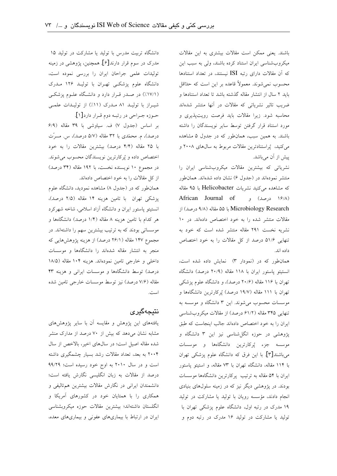باشند. یعنی ممکن است مقالات بیشتری به این مقالات میکروبشناسی ایران استناد کرده باشند، ولی به سبب این که آن مقالات دارای رتبه ISI نیستند، در تعداد استنادها محسوب نمی شوند. معمولاً قاعده بر این است که حدّاقل باید ۲ سال از انتشار مقاله گذشته باشد تا تعداد استنادها و ضریب تاثیر نشریاتی که مقالات در آنها منتشر شدهاند محاسبه شود. زیرا مقالات باید فرصت رویت پذیری و مورد استناد قرار گرفتن توسط سایر نویسندگان را داشته باشند. به همین سبب، همان طور که در جدول ۵ مشاهده می کنید، پُراستنادترین مقالات مربوط به سالهای ۲۰۰۸ و پیش از آن میباشد.

نشریاتی که بیشترین مقالات میکروبشناسی ایران را منتشر نمودهاند در (جدول ۶) نشان داده شدهاند. همان طور که مشاهده میکنید نشریات Helicobacter با ۹۵ مقاله African Journal of ورصد) و African Journal of Microbiology Research با ۵۵ مقاله (۹/۸ درصد) از مقالات منتشر شده را به خود اختصاص دادهاند. در ۱۰ نشریه نخست ۲۹۱ مقاله منتشر شده است که خود به تنهایی ۵۱/۶ درصد از کل مقالات را به خود اختصاص داده اند.

همان طور که در (نمودار ٣) نمایش داده شده است، انستيتو پاستور ايران با ١١٨ مقاله (٢٠/٩ درصد) دانشگاه تهران با ۱۱۶ مقاله (۲۰/۶ درصد)، و دانشگاه علوم پزشکی تهران با ۱۱۱ مقاله (۱۹/۷ درصد) پُرکارترین دانشگاهها و موسسات محسوب می شوند. این ۳ دانشگاه و موسسه به تنهایی ۳۴۵ مقاله (۶۱/۲ درصد) از مقالات میکروبشناسی ایران را به خود اختصاص دادهاند جالب اینجاست که طبق پژوهشی در حوزه انگلشناسی نیز این ۳ دانشگاه و موسسه جزء پُرکارترین دانشگاهها و موسسات میباشند[۳]. با این فرق که دانشگاه علوم پزشکی تهران با ۱۱۴ مقاله، دانشگاه تهران با ۷۳ مقاله، و استیتو یاستور ایران با ۵۴ مقاله به ترتیب پرکارترین دانشگاهها موسسات بودند. در پژوهشی دیگر نیز که در زمینه سلولهای بنیادی انجام دادند، مؤسسه رويان با توليد يا مشاركت در توليد ۱۹ مدرک در رتبه اول، دانشگاه علوم یزشکی تهران با تولید یا مشارکت در تولید ۱۶ مدرک در رتبه دوم و

دانشگاه تربیت مدرس با تولید یا مشارکت در تولید ۱۵ مدرک در سوم قرار دارند[۶] همچنین، پژوهشی در زمینه تولیدات علمی جراحان ایران را بررسی نموده است، دانشگاه علوم یزشکے تھے ان با تولیـد ۱۲۶ مـدرک (۱۷/۱٪) در صدر قـرار دارد و دانشگاه علـوم یزشکـی شیراز با تولیـد ۸۱ مـدرک (۱۱٪) از تولیـدات علمـی

حـوزه جـراحي در رتبــه دوم قـرار دارد[۱]. بر اساس (جدول ٧) ف. سياوشي با ٣٩ مقاله (٩/٩ درصد)، م. محمّدی با ۳۲ مقاله (۵/۷ درصد)، س. مسرّت با ۲۵ مقاله (۴/۴ درصد) بیشترین مقالات را به خود اختصاص داده و پُركارترين نويسندگان محسوب مي شوند. در مجموع ۱۰ نویسنده نخست، با ۱۹۲ مقاله (۳۴ درصد) از کل مقالات را به خود اختصاص دادهاند.

همان طور که در (جدول ۸) مشاهده نمودید، دانشگاه علوم پزشکی تهران با تامین هزینه ۱۴ مقاله (۲/۵ درصد)، انستیتو پاستور ایران و دانشگاه آزاد اسلامی، شاخه شهرکرد هر کدام با تامین هزینه ۸ مقاله (۱/۴ درصد) دانشگاهها و موسساتی بودند که به ترتیب بیشترین سهم را داشتهاند. در مجموع ۱۴۷ مقاله (۲۶/۱ درصد) از هزینه پژوهشهایی که منجر به انتشار مقاله شدهاند را دانشگاهها و موسسات داخلی و خارجی تامین نمودهاند. هزینه ۱۰۴ مقاله (۱۸/۵ درصد) توسط دانشگاهها و موسسات ایرانی و هزینه ۴۳ مقاله (۷/۶ درصد) نیز توسط موسسات خارجی تامین شده است.

### نتيجەگيرى

یافتههای این پژوهش و مقایسه آن با سایر پژوهشهای مشابه نشان میدهد که بیش از ۷۰ درصد از مدارک منشر شده مقاله اصیل است؛ در سالهای اخیر، بالاخص از سال ۲۰۰۴ به بعد، تعداد مقالات رشد بسیار چشمگیری داشته است و در سال ٢٠١٠ به اوج خود رسيده است؛ ٩٩/٢٩ درصد از مقالات به زبان انگلیسی نگارش یافته است؛ دانشمندان ایرانی در نگارش مقالات بیشترین همتالیفی و همکاری را با همتایان خود در کشورهای آمریکا و انگلستان داشتهاند؛ بیشترین مقالات حوزه میکروبشناسی ایران در ارتباط با بیماریهای عفونی و بیماریهای معده،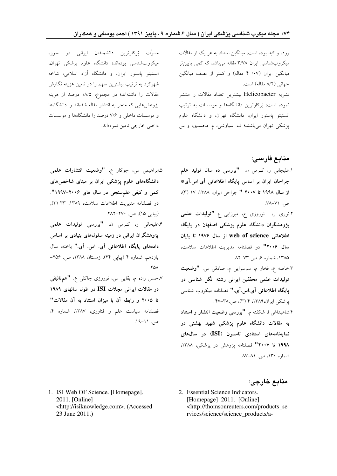روده و کبد بوده است؛ میانگین استناد به هر یک از مقالات میکروب شناسی ایران ۳/۷۸ مقاله میباشد که کمی پایین تر میانگین ایران (۰۷/ ۴ مقاله) و کمتر از نصف میانگین جهانی (٨/٢ مقاله) است.

نشریه Helicobacter بیشترین تعداد مقالات را منتشر نموده است؛ پُرکارترین دانشگاهها و موسسات به ترتیب انستیتو یاستور ایران، دانشگاه تهران، و دانشگاه علوم یزشکی تهران میباشند؛ ف سیاوشی، م محمدی، و س

#### منابع فارسي:

- ۱.علیجانی ر، کـرمی ن. **"بررسی ده سال تولید علم** جراحان ایران بر اساس پایگاه اطلاعاتی آی اس آی\* از سال ۱۹۹۸ تا ۲۰۰۷ " جراحی ایران، ۱۳۸۸، ۱۷ (۳)،  $Y^{\lambda - V}$ .
- ۲.نوری ر، نوروزی ع، میرزایی ع. **"تولیدات علمی** پژوهشگران دانشگاه علوم پزشکی اصفهان در پایگاه اطلاعاتی web of science از سال ۱۹۷۶ تا پایان سال ۲۰۰۶" دو فصلنامه مدیریت اطلاعات سلامت، ۱۳۸۵، شماره ۶، ص ۷۳–۸۲.

۳.خاصه ع، فخار م، سوسرایی م، صادقی س. **"وضعیت** تولیدات علمی محققین ایرانی رشته انگل شناسی در پایگاه اطلاعاتی آی اس آی." فصلنامه میکروب شناسی یزشکی ایران،۱۳۸۹، ۴ (۳)، ص۳۸.

۴.شاهبداغ<sub>ی</sub> ا، شکفته م. **"بررسی وضعیت انتشار و استناد** به مقالات دانشگاه علوم پزشکی شهید بهشتی در نمایهنامههای استنادی تامسون (ISI) در سالهای ۱۹۹۸ تا ۲۰۰۷" فصلنامه یژوهش در یزشکی، ۱۳۸۸، شماره ۱۳۰، ص. ۸۱–۸۷.

مسرّت پُرکارترین دانشمندان ایرانی در حوزه میکروب شناسی بودهاند؛ دانشگاه علوم پزشکی تهران، انستیتو یاستور ایران، و دانشگاه آزاد اسلامی، شاخه شهرکرد به ترتیب بیشترین سهم را در تامین هزینه نگارش مقالات را داشتهاند؛ در مجموع، ۱۸/۵ درصد از هزینه پژوهشهایی که منجر به انتشار مقاله شدهاند را دانشگاهها و موسسات داخلی و ۷/۶ درصد را دانشگاهها و موسسات داخلی خارجی تامین نمودهاند.

۰.ابراهیمی س، جوکار ع. **"وضعیت انتشارات علمی** دانشگاههای علوم پزشکی ایران بر مبنای شاخصهای کمی و کیفی علم سنجی در سال های ۲۰۰۶–۱۹۹۷". دو فصلنامه مديريت اطلاعات سلامت، ١٣٨٩، ٣٣ (٢), (پیاپی ۱۵)، ص. ۲۷۰–۲۸۲.

۶.علیجانی ر، کـرمی ن. **"بررسی تولیدات علمی** پژوهشگران ایرانی در زمینه سلولهای بنیادی بر اساس دادههای پایگاه اطلاعاتی آی. اس. آی." پاخته، سال یازدهم، شماره ۴ (پیایی ۴۴)، زمستان ۱۳۸۸، ص. ۴۵۶–  $Y_{\Delta}$ 

۷.حسن زاده م، بقایی س، نوروزی چاکلی ع. **"همتالیفی** در مقالات ایرانی مجلات ISI در طول سالهای ۱۹۸۹ تا ٢٠٠٥ و رابطه آن با ميزان استناد به آن مقالات" فصلنامه سیاست علم و فناوری، ۱۳۸۷، شماره ۴،  $.19-11.$ 

1. ISI Web OF Science. [Homepage]. 2011. [Online] <http://isiknowledge.com>. (Accessed 23 June 2011.)

منابع خارجي:

2. Essential Science Indicators. [Homepage] 2011. [Online] <http://thomsonreuters.com/products\_se rvices/science/science\_products/a